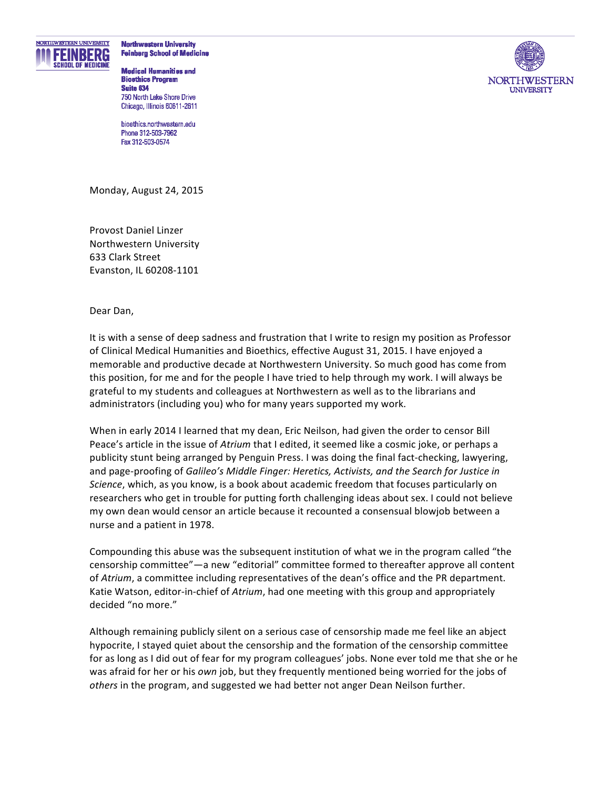NORTHWESTERN UNIVERSITY **FEINBERG SCHOOL OF MEDICINE** 

**Northwestern University Feinberg School of Medicine** 

**Medical Humanities and Bioethics Program** Suite 634 750 North Lake Shore Drive Chicago, Illinois 60611-2611



bioethics.northwestern.edu Phone 312-503-7962 Fax 312-503-0574

Monday, August 24, 2015

Provost Daniel Linzer Northwestern University 633 Clark Street Evanston, IL 60208-1101

Dear Dan,

It is with a sense of deep sadness and frustration that I write to resign my position as Professor of Clinical Medical Humanities and Bioethics, effective August 31, 2015. I have enjoyed a memorable and productive decade at Northwestern University. So much good has come from this position, for me and for the people I have tried to help through my work. I will always be grateful to my students and colleagues at Northwestern as well as to the librarians and administrators (including you) who for many years supported my work.

When in early 2014 I learned that my dean, Eric Neilson, had given the order to censor Bill Peace's article in the issue of Atrium that I edited, it seemed like a cosmic joke, or perhaps a publicity stunt being arranged by Penguin Press. I was doing the final fact-checking, lawyering, and page-proofing of *Galileo's Middle Finger: Heretics, Activists, and the Search for Justice in Science*, which, as you know, is a book about academic freedom that focuses particularly on researchers who get in trouble for putting forth challenging ideas about sex. I could not believe my own dean would censor an article because it recounted a consensual blowjob between a nurse and a patient in 1978.

Compounding this abuse was the subsequent institution of what we in the program called "the censorship committee"—a new "editorial" committee formed to thereafter approve all content of *Atrium*, a committee including representatives of the dean's office and the PR department. Katie Watson, editor-in-chief of *Atrium*, had one meeting with this group and appropriately decided "no more."

Although remaining publicly silent on a serious case of censorship made me feel like an abject hypocrite, I stayed quiet about the censorship and the formation of the censorship committee for as long as I did out of fear for my program colleagues' jobs. None ever told me that she or he was afraid for her or his *own* job, but they frequently mentioned being worried for the jobs of others in the program, and suggested we had better not anger Dean Neilson further.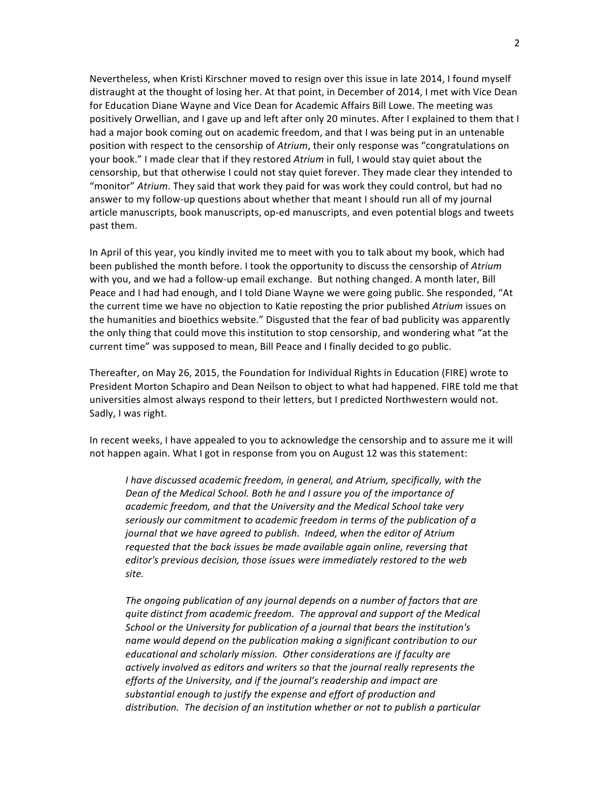Nevertheless, when Kristi Kirschner moved to resign over this issue in late 2014, I found myself distraught at the thought of losing her. At that point, in December of 2014, I met with Vice Dean for Education Diane Wayne and Vice Dean for Academic Affairs Bill Lowe. The meeting was positively Orwellian, and I gave up and left after only 20 minutes. After I explained to them that I had a major book coming out on academic freedom, and that I was being put in an untenable position with respect to the censorship of *Atrium*, their only response was "congratulations on your book." I made clear that if they restored Atrium in full, I would stay quiet about the censorship, but that otherwise I could not stay quiet forever. They made clear they intended to "monitor" Atrium. They said that work they paid for was work they could control, but had no answer to my follow-up questions about whether that meant I should run all of my journal article manuscripts, book manuscripts, op-ed manuscripts, and even potential blogs and tweets past them.

In April of this year, you kindly invited me to meet with you to talk about my book, which had been published the month before. I took the opportunity to discuss the censorship of *Atrium* with you, and we had a follow-up email exchange. But nothing changed. A month later, Bill Peace and I had had enough, and I told Diane Wayne we were going public. She responded, "At the current time we have no objection to Katie reposting the prior published Atrium issues on the humanities and bioethics website." Disgusted that the fear of bad publicity was apparently the only thing that could move this institution to stop censorship, and wondering what "at the current time" was supposed to mean, Bill Peace and I finally decided to go public.

Thereafter, on May 26, 2015, the Foundation for Individual Rights in Education (FIRE) wrote to President Morton Schapiro and Dean Neilson to object to what had happened. FIRE told me that universities almost always respond to their letters, but I predicted Northwestern would not. Sadly, I was right.

In recent weeks, I have appealed to you to acknowledge the censorship and to assure me it will not happen again. What I got in response from you on August 12 was this statement:

*I* have discussed academic freedom, in general, and Atrium, specifically, with the *Dean of the Medical School.* Both he and I assure you of the importance of *academic freedom, and that the University and the Medical School take very*  seriously our commitment to academic freedom in terms of the publication of a *journal* that we have agreed to publish. Indeed, when the editor of Atrium *requested that the back issues be made available again online, reversing that* editor's previous decision, those issues were immediately restored to the web *site.*

The ongoing publication of any journal depends on a number of factors that are *quite distinct from academic freedom.* The approval and support of the Medical *School or the University for publication of a journal that bears the institution's* name would depend on the publication making a significant contribution to our *educational and scholarly mission.* Other considerations are if faculty are *actively involved as editors and writers so that the journal really represents the* efforts of the University, and if the journal's readership and impact are substantial enough to justify the expense and effort of production and *distribution.* The decision of an institution whether or not to publish a particular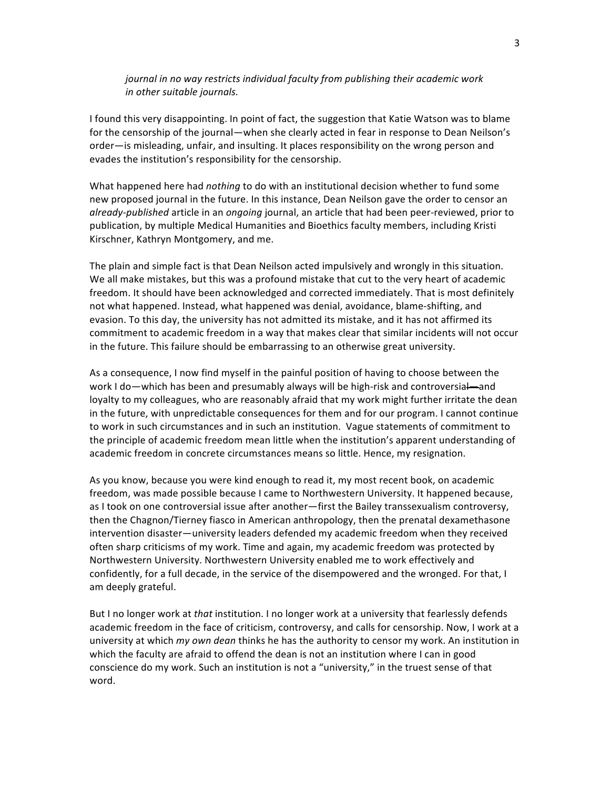*journal* in no way restricts individual faculty from publishing their academic work *in other suitable journals.*

I found this very disappointing. In point of fact, the suggestion that Katie Watson was to blame for the censorship of the journal—when she clearly acted in fear in response to Dean Neilson's order—is misleading, unfair, and insulting. It places responsibility on the wrong person and evades the institution's responsibility for the censorship.

What happened here had *nothing* to do with an institutional decision whether to fund some new proposed journal in the future. In this instance, Dean Neilson gave the order to censor an already-published article in an *ongoing* journal, an article that had been peer-reviewed, prior to publication, by multiple Medical Humanities and Bioethics faculty members, including Kristi Kirschner, Kathryn Montgomery, and me.

The plain and simple fact is that Dean Neilson acted impulsively and wrongly in this situation. We all make mistakes, but this was a profound mistake that cut to the very heart of academic freedom. It should have been acknowledged and corrected immediately. That is most definitely not what happened. Instead, what happened was denial, avoidance, blame-shifting, and evasion. To this day, the university has not admitted its mistake, and it has not affirmed its commitment to academic freedom in a way that makes clear that similar incidents will not occur in the future. This failure should be embarrassing to an otherwise great university.

As a consequence, I now find myself in the painful position of having to choose between the work I do—which has been and presumably always will be high-risk and controversial—and loyalty to my colleagues, who are reasonably afraid that my work might further irritate the dean in the future, with unpredictable consequences for them and for our program. I cannot continue to work in such circumstances and in such an institution. Vague statements of commitment to the principle of academic freedom mean little when the institution's apparent understanding of academic freedom in concrete circumstances means so little. Hence, my resignation.

As you know, because you were kind enough to read it, my most recent book, on academic freedom, was made possible because I came to Northwestern University. It happened because, as I took on one controversial issue after another—first the Bailey transsexualism controversy, then the Chagnon/Tierney fiasco in American anthropology, then the prenatal dexamethasone intervention disaster—university leaders defended my academic freedom when they received often sharp criticisms of my work. Time and again, my academic freedom was protected by Northwestern University. Northwestern University enabled me to work effectively and confidently, for a full decade, in the service of the disempowered and the wronged. For that, I am deeply grateful.

But I no longer work at *that* institution. I no longer work at a university that fearlessly defends academic freedom in the face of criticism, controversy, and calls for censorship. Now, I work at a university at which *my own dean* thinks he has the authority to censor my work. An institution in which the faculty are afraid to offend the dean is not an institution where I can in good conscience do my work. Such an institution is not a "university," in the truest sense of that word.